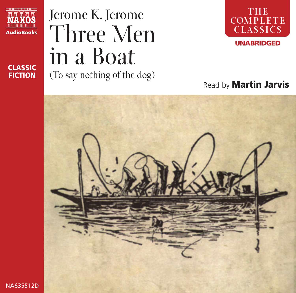

**CLASSIC FICTION**

# Jerome K. Jerome Three Men in a Boat (To say nothing of the dog)



## Read by **Martin Jarvis**

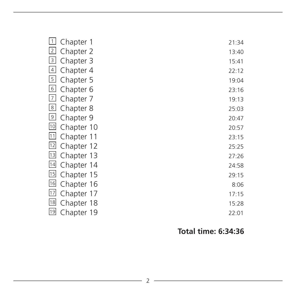| $\vert$ 1      | Chapter 1  | 21:34 |
|----------------|------------|-------|
| 2              | Chapter 2  | 13:40 |
| $\vert$ 3      | Chapter 3  | 15:41 |
| $\vert$ 4      | Chapter 4  | 22:12 |
| $\overline{5}$ | Chapter 5  | 19:04 |
| 6              | Chapter 6  | 23:16 |
| 7              | Chapter 7  | 19:13 |
| 8              | Chapter 8  | 25:03 |
| $\boxed{9}$    | Chapter 9  | 20:47 |
| 10             | Chapter 10 | 20:57 |
| 11             | Chapter 11 | 23:15 |
| 12             | Chapter 12 | 25:25 |
| 13             | Chapter 13 | 27:26 |
| 14             | Chapter 14 | 24:58 |
| 15             | Chapter 15 | 29:15 |
| 16             | Chapter 16 | 8:06  |
| 17             | Chapter 17 | 17:15 |
| 18             | Chapter 18 | 15:28 |
| 19             | Chapter 19 | 22:01 |

### **Total time: 6:34:36**

<u> 1989 - Johann Barn, amerikansk politiker (</u>

the control of the control of the control of the control of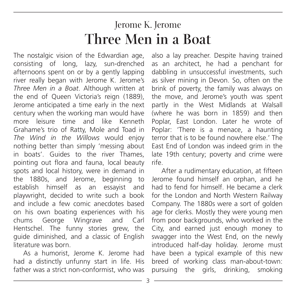# Jerome K. Jerome **Three Men in a Boat**

The nostalgic vision of the Edwardian age, consisting of long, lazy, sun-drenched afternoons spent on or by a gently lapping river really began with Jerome K. Jerome's *Three Men in a Boat*. Although written at the end of Queen Victoria's reign (1889), Jerome anticipated a time early in the next century when the working man would have more leisure time and like Kenneth Grahame's trio of Ratty, Mole and Toad in *The Wind in the Willows* would enjoy nothing better than simply 'messing about in boats'. Guides to the river Thames, pointing out flora and fauna, local beauty spots and local history, were in demand in the 1880s, and Jerome, beginning to establish himself as an essayist and playwright, decided to write such a book and include a few comic anecdotes based on his own boating experiences with his chums George Wingrave and Carl Hentschel. The funny stories grew, the guide diminished, and a classic of English literature was born.

As a humorist, Jerome K. Jerome had had a distinctly unfunny start in life. His father was a strict non-conformist, who was also a lay preacher. Despite having trained as an architect, he had a penchant for dabbling in unsuccessful investments, such as silver mining in Devon. So, often on the brink of poverty, the family was always on the move, and Jerome's youth was spent partly in the West Midlands at Walsall (where he was born in 1859) and then Poplar, East London. Later he wrote of Poplar: 'There is a menace, a haunting terror that is to be found nowhere else.' The East End of London was indeed grim in the late 19th century; poverty and crime were rife.

After a rudimentary education, at fifteen Jerome found himself an orphan, and he had to fend for himself. He became a clerk for the London and North Western Railway Company. The 1880s were a sort of golden age for clerks. Mostly they were young men from poor backgrounds, who worked in the City, and earned just enough money to swagger into the West End, on the newly introduced half-day holiday. Jerome must have been a typical example of this new breed of working class man-about-town: pursuing the girls, drinking, smoking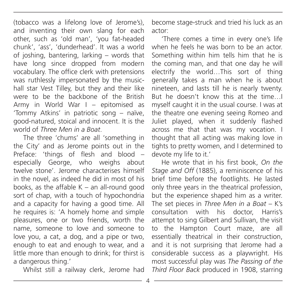(tobacco was a lifelong love of Jerome's), and inventing their own slang for each other, such as 'old man', 'you fat-headed chunk', 'ass', 'dunderhead'. It was a world of joshing, bantering, larking – words that have long since dropped from modern vocabulary. The office clerk with pretensions was ruthlessly impersonated by the musichall star Vest Tilley, but they and their like were to be the backbone of the British Army in World War I – epitomised as 'Tommy Atkins' in patriotic song – naïve, good-natured, stoical and innocent. It is the world of *Three Men in a Boat*.

The three 'chums' are all 'something in the City' and as Jerome points out in the Preface: 'things of flesh and blood – especially George, who weighs about twelve stone'. Jerome characterises himself in the novel, as indeed he did in most of his books, as the affable  $K - an$  all-round good sort of chap, with a touch of hypochondria and a capacity for having a good time. All he requires is: 'A homely home and simple pleasures, one or two friends, worth the name, someone to love and someone to love you, a cat, a dog, and a pipe or two, enough to eat and enough to wear, and a little more than enough to drink; for thirst is a dangerous thing.'

Whilst still a railway clerk, Jerome had

become stage-struck and tried his luck as an actor:

'There comes a time in every one's life when he feels he was born to be an actor. Something within him tells him that he is the coming man, and that one day he will electrify the world…This sort of thing generally takes a man when he is about nineteen, and lasts till he is nearly twenty. But he doesn't know this at the time…I myself caught it in the usual course. I was at the theatre one evening seeing Romeo and Juliet played, when it suddenly flashed across me that that was my vocation. I thought that all acting was making love in tights to pretty women, and I determined to devote my life to it.'

He wrote that in his first book, *On the Stage and Off* (1885), a reminiscence of his brief time before the footlights. He lasted only three years in the theatrical profession, but the experience shaped him as a writer. The set pieces in *Three Men in a Boat* – K's consultation with his doctor, Harris's attempt to sing Gilbert and Sullivan, the visit to the Hampton Court maze, are all essentially theatrical in their construction, and it is not surprising that Jerome had a considerable success as a playwright. His most successful play was *The Passing of the Third Floor Back* produced in 1908, starring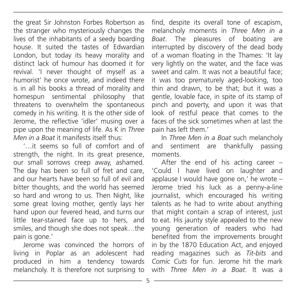the great Sir Johnston Forbes Robertson as the stranger who mysteriously changes the lives of the inhabitants of a seedy boarding house. It suited the tastes of Edwardian London, but today its heavy morality and distinct lack of humour has doomed it for revival. 'I never thought of myself as a humorist' he once wrote, and indeed there is in all his books a thread of morality and homespun sentimental philosophy that threatens to overwhelm the spontaneous comedy in his writing. It is the other side of Jerome, the reflective 'idler' musing over a pipe upon the meaning of life. As K in *Three Men in a Boat* it manifests itself thus:

'…it seems so full of comfort and of strength, the night. In its great presence, our small sorrows creep away, ashamed. The day has been so full of fret and care, and our hearts have been so full of evil and bitter thoughts, and the world has seemed so hard and wrong to us. Then Night, like some great loving mother, gently lays her hand upon our fevered head, and turns our little tear-stained face up to hers, and smiles, and though she does not speak…the pain is gone.'

Jerome was convinced the horrors of living in Poplar as an adolescent had produced in him a tendency towards melancholy. It is therefore not surprising to

find, despite its overall tone of escapism, melancholy moments in *Three Men in a Boat*. The pleasures of boating are interrupted by discovery of the dead body of a woman floating in the Thames: 'It lay very lightly on the water, and the face was sweet and calm. It was not a beautiful face; it was too prematurely aged-looking, too thin and drawn, to be that; but it was a gentle, lovable face, in spite of its stamp of pinch and poverty, and upon it was that look of restful peace that comes to the faces of the sick sometimes when at last the pain has left them.'

In *Three Men in a Boat* such melancholy and sentiment are thankfully passing moments.

After the end of his acting career – 'Could I have lived on laughter and applause I would have gone on,' he wrote – Jerome tried his luck as a penny-a-line journalist, which encouraged his writing talents as he had to write about anything that might contain a scrap of interest, just to eat. His jaunty style appealed to the new young generation of readers who had benefited from the improvements brought in by the 1870 Education Act, and enjoyed reading magazines such as *Tit-bits* and *Comic Cuts* for fun. Jerome hit the mark with *Three Men in a Boat*. It was a

5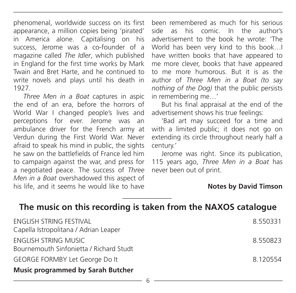phenomenal, worldwide success on its first appearance, a million copies being 'pirated' in America alone. Capitalising on his success, Jerome was a co-founder of a magazine called *The Idler*, which published in England for the first time works by Mark Twain and Bret Harte, and he continued to write novels and plays until his death in 1927.

*Three Men in a Boat* captures in aspic the end of an era, before the horrors of World War I changed people's lives and perceptions for ever. Jerome was an ambulance driver for the French army at Verdun during the First World War. Never afraid to speak his mind in public, the sights he saw on the battlefields of France led him to campaign against the war, and press for a negotiated peace. The success of *Three Men in a Boat* overshadowed this aspect of his life, and it seems he would like to have

been remembered as much for his serious side as his comic. In the author's advertisement to the book he wrote: 'The World has been very kind to this book…I have written books that have appeared to me more clever, books that have appeared to me more humorous. But it is as the author of *Three Men in a Boat (to say nothing of the Dog)* that the public persists in remembering me…'

But his final appraisal at the end of the advertisement shows his true feelings:

'Bad art may succeed for a time and with a limited public; it does not go on extending its circle throughout nearly half a century.'

Jerome was right. Since its publication, 115 years ago, *Three Men in a Boat* has never been out of print.

#### **Notes by David Timson**

### **The music on this recording is taken from the NAXOS catalogue**

| ENGLISH STRING FESTIVAL<br>Capella Istropolitana / Adrian Leaper | 8.550331 |  |
|------------------------------------------------------------------|----------|--|
| ENGLISH STRING MUSIC<br>Bournemouth Sinfonietta / Richard Studt  | 8.550823 |  |
| GEORGE FORMBY Let George Do It                                   | 8.120554 |  |
| <b>Music programmed by Sarah Butcher</b>                         |          |  |